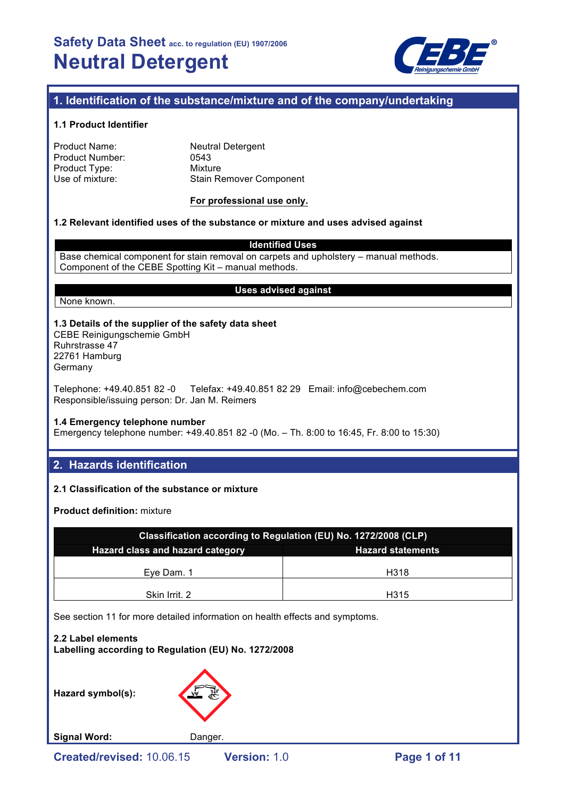

## **1. Identification of the substance/mixture and of the company/undertaking**

### **1.1 Product Identifier**

| Product Name:   | <b>Neutral Detergent</b>       |
|-----------------|--------------------------------|
| Product Number: | 0543                           |
| Product Type:   | Mixture                        |
| Use of mixture: | <b>Stain Remover Component</b> |
|                 |                                |

#### **For professional use only.**

### **1.2 Relevant identified uses of the substance or mixture and uses advised against**

**Identified Uses**

Base chemical component for stain removal on carpets and upholstery – manual methods. Component of the CEBE Spotting Kit – manual methods.

#### **Uses advised against**

None known.

### **1.3 Details of the supplier of the safety data sheet**

CEBE Reinigungschemie GmbH Ruhrstrasse 47 22761 Hamburg **Germany** 

Telephone: +49.40.851 82 -0 Telefax: +49.40.851 82 29 Email: info@cebechem.com Responsible/issuing person: Dr. Jan M. Reimers

#### **1.4 Emergency telephone number**

Emergency telephone number: +49.40.851 82 -0 (Mo. – Th. 8:00 to 16:45, Fr. 8:00 to 15:30)

## **2. Hazards identification**

## **2.1 Classification of the substance or mixture**

**Product definition:** mixture

| Classification according to Regulation (EU) No. 1272/2008 (CLP) |      |  |  |
|-----------------------------------------------------------------|------|--|--|
| Hazard class and hazard category<br><b>Hazard statements</b>    |      |  |  |
| Eve Dam. 1                                                      | H318 |  |  |
| Skin Irrit. 2                                                   | H315 |  |  |

See section 11 for more detailed information on health effects and symptoms.

**2.2 Label elements Labelling according to Regulation (EU) No. 1272/2008**

**Hazard symbol(s):**



Signal Word: Danger.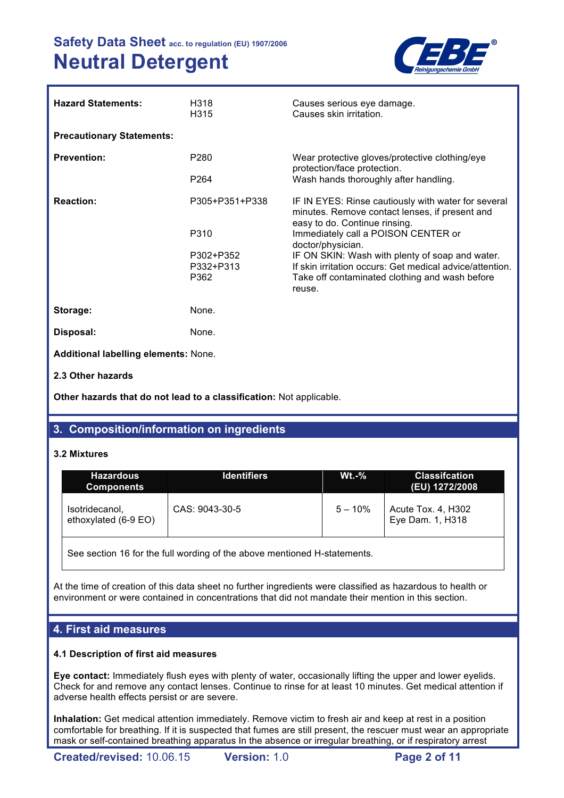

| <b>Hazard Statements:</b>                   | H318<br>H315           | Causes serious eye damage.<br>Causes skin irritation.                                                                                  |
|---------------------------------------------|------------------------|----------------------------------------------------------------------------------------------------------------------------------------|
| <b>Precautionary Statements:</b>            |                        |                                                                                                                                        |
| <b>Prevention:</b>                          | P <sub>280</sub>       | Wear protective gloves/protective clothing/eye<br>protection/face protection.                                                          |
|                                             | P264                   | Wash hands thoroughly after handling.                                                                                                  |
| <b>Reaction:</b>                            | P305+P351+P338         | IF IN EYES: Rinse cautiously with water for several<br>minutes. Remove contact lenses, if present and<br>easy to do. Continue rinsing. |
|                                             | P310                   | Immediately call a POISON CENTER or<br>doctor/physician.                                                                               |
|                                             | P302+P352<br>P332+P313 | IF ON SKIN: Wash with plenty of soap and water.<br>If skin irritation occurs: Get medical advice/attention.                            |
|                                             | P362                   | Take off contaminated clothing and wash before<br>reuse.                                                                               |
| Storage:                                    | None.                  |                                                                                                                                        |
| Disposal:                                   | None.                  |                                                                                                                                        |
| <b>Additional labelling elements: None.</b> |                        |                                                                                                                                        |
| 2.3 Other hazards                           |                        |                                                                                                                                        |

**Other hazards that do not lead to a classification:** Not applicable.

# **3. Composition/information on ingredients**

## **3.2 Mixtures**

| <b>Hazardous</b><br><b>Components</b>  | <b>Identifiers</b> | $Wt.-%$    | <b>Classifcation</b><br>(EU) 1272/2008 |
|----------------------------------------|--------------------|------------|----------------------------------------|
| Isotridecanol,<br>ethoxylated (6-9 EO) | CAS: 9043-30-5     | $5 - 10\%$ | Acute Tox. 4, H302<br>Eye Dam. 1, H318 |

See section 16 for the full wording of the above mentioned H-statements.

At the time of creation of this data sheet no further ingredients were classified as hazardous to health or environment or were contained in concentrations that did not mandate their mention in this section.

## **4. First aid measures**

## **4.1 Description of first aid measures**

**Eye contact:** Immediately flush eyes with plenty of water, occasionally lifting the upper and lower eyelids. Check for and remove any contact lenses. Continue to rinse for at least 10 minutes. Get medical attention if adverse health effects persist or are severe.

**Inhalation:** Get medical attention immediately. Remove victim to fresh air and keep at rest in a position comfortable for breathing. If it is suspected that fumes are still present, the rescuer must wear an appropriate mask or self-contained breathing apparatus In the absence or irregular breathing, or if respiratory arrest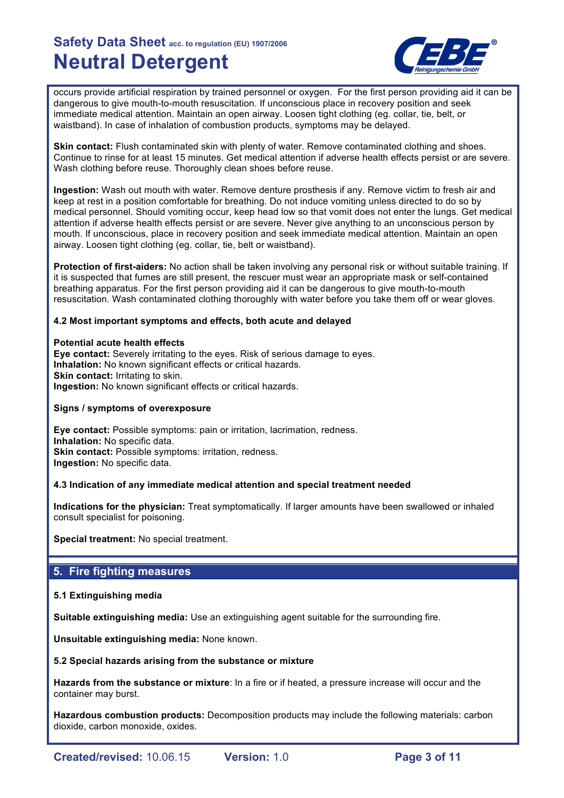

occurs provide artificial respiration by trained personnel or oxygen. For the first person providing aid it can be dangerous to give mouth-to-mouth resuscitation. If unconscious place in recovery position and seek immediate medical attention. Maintain an open airway. Loosen tight clothing (eg. collar, tie, belt, or waistband). In case of inhalation of combustion products, symptoms may be delayed.

**Skin contact:** Flush contaminated skin with plenty of water. Remove contaminated clothing and shoes. Continue to rinse for at least 15 minutes. Get medical attention if adverse health effects persist or are severe. Wash clothing before reuse. Thoroughly clean shoes before reuse.

**Ingestion:** Wash out mouth with water. Remove denture prosthesis if any. Remove victim to fresh air and keep at rest in a position comfortable for breathing. Do not induce vomiting unless directed to do so by medical personnel. Should vomiting occur, keep head low so that vomit does not enter the lungs. Get medical attention if adverse health effects persist or are severe. Never give anything to an unconscious person by mouth. If unconscious, place in recovery position and seek immediate medical attention. Maintain an open airway. Loosen tight clothing (eg. collar, tie, belt or waistband).

**Protection of first-aiders:** No action shall be taken involving any personal risk or without suitable training. If it is suspected that fumes are still present, the rescuer must wear an appropriate mask or self-contained breathing apparatus. For the first person providing aid it can be dangerous to give mouth-to-mouth resuscitation. Wash contaminated clothing thoroughly with water before you take them off or wear gloves.

### **4.2 Most important symptoms and effects, both acute and delayed**

#### **Potential acute health effects**

**Eye contact:** Severely irritating to the eyes. Risk of serious damage to eyes. **Inhalation:** No known significant effects or critical hazards. **Skin contact: Irritating to skin. Ingestion:** No known significant effects or critical hazards.

#### **Signs / symptoms of overexposure**

**Eye contact:** Possible symptoms: pain or irritation, lacrimation, redness. **Inhalation:** No specific data. **Skin contact:** Possible symptoms: irritation, redness. **Ingestion:** No specific data.

## **4.3 Indication of any immediate medical attention and special treatment needed**

**Indications for the physician:** Treat symptomatically. If larger amounts have been swallowed or inhaled consult specialist for poisoning.

**Special treatment:** No special treatment.

## **5. Fire fighting measures**

## **5.1 Extinguishing media**

**Suitable extinguishing media:** Use an extinguishing agent suitable for the surrounding fire.

**Unsuitable extinguishing media:** None known.

#### **5.2 Special hazards arising from the substance or mixture**

**Hazards from the substance or mixture**: In a fire or if heated, a pressure increase will occur and the container may burst.

**Hazardous combustion products:** Decomposition products may include the following materials: carbon dioxide, carbon monoxide, oxides.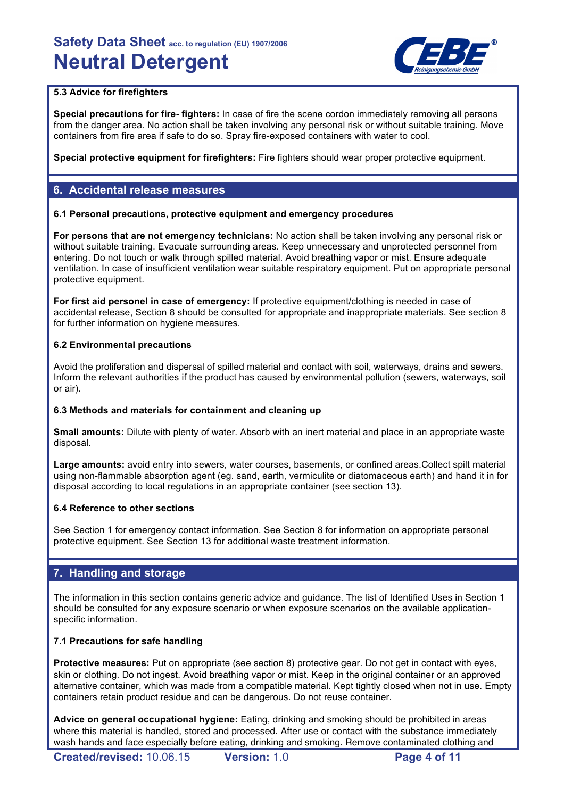

## **5.3 Advice for firefighters**

**Special precautions for fire- fighters:** In case of fire the scene cordon immediately removing all persons from the danger area. No action shall be taken involving any personal risk or without suitable training. Move containers from fire area if safe to do so. Spray fire-exposed containers with water to cool.

**Special protective equipment for firefighters:** Fire fighters should wear proper protective equipment.

## **6. Accidental release measures**

### **6.1 Personal precautions, protective equipment and emergency procedures**

**For persons that are not emergency technicians:** No action shall be taken involving any personal risk or without suitable training. Evacuate surrounding areas. Keep unnecessary and unprotected personnel from entering. Do not touch or walk through spilled material. Avoid breathing vapor or mist. Ensure adequate ventilation. In case of insufficient ventilation wear suitable respiratory equipment. Put on appropriate personal protective equipment.

**For first aid personel in case of emergency:** If protective equipment/clothing is needed in case of accidental release, Section 8 should be consulted for appropriate and inappropriate materials. See section 8 for further information on hygiene measures.

### **6.2 Environmental precautions**

Avoid the proliferation and dispersal of spilled material and contact with soil, waterways, drains and sewers. Inform the relevant authorities if the product has caused by environmental pollution (sewers, waterways, soil or air).

## **6.3 Methods and materials for containment and cleaning up**

**Small amounts:** Dilute with plenty of water. Absorb with an inert material and place in an appropriate waste disposal.

**Large amounts:** avoid entry into sewers, water courses, basements, or confined areas.Collect spilt material using non-flammable absorption agent (eg. sand, earth, vermiculite or diatomaceous earth) and hand it in for disposal according to local regulations in an appropriate container (see section 13).

## **6.4 Reference to other sections**

See Section 1 for emergency contact information. See Section 8 for information on appropriate personal protective equipment. See Section 13 for additional waste treatment information.

## **7. Handling and storage**

The information in this section contains generic advice and guidance. The list of Identified Uses in Section 1 should be consulted for any exposure scenario or when exposure scenarios on the available applicationspecific information.

## **7.1 Precautions for safe handling**

**Protective measures:** Put on appropriate (see section 8) protective gear. Do not get in contact with eyes, skin or clothing. Do not ingest. Avoid breathing vapor or mist. Keep in the original container or an approved alternative container, which was made from a compatible material. Kept tightly closed when not in use. Empty containers retain product residue and can be dangerous. Do not reuse container.

**Advice on general occupational hygiene:** Eating, drinking and smoking should be prohibited in areas where this material is handled, stored and processed. After use or contact with the substance immediately wash hands and face especially before eating, drinking and smoking. Remove contaminated clothing and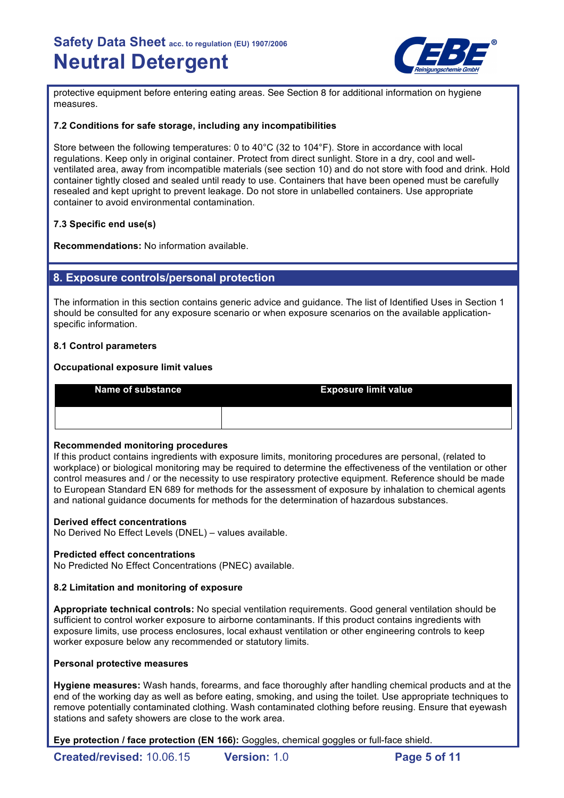

protective equipment before entering eating areas. See Section 8 for additional information on hygiene measures.

## **7.2 Conditions for safe storage, including any incompatibilities**

Store between the following temperatures: 0 to 40°C (32 to 104°F). Store in accordance with local regulations. Keep only in original container. Protect from direct sunlight. Store in a dry, cool and wellventilated area, away from incompatible materials (see section 10) and do not store with food and drink. Hold container tightly closed and sealed until ready to use. Containers that have been opened must be carefully resealed and kept upright to prevent leakage. Do not store in unlabelled containers. Use appropriate container to avoid environmental contamination.

## **7.3 Specific end use(s)**

**Recommendations:** No information available.

## **8. Exposure controls/personal protection**

The information in this section contains generic advice and guidance. The list of Identified Uses in Section 1 should be consulted for any exposure scenario or when exposure scenarios on the available applicationspecific information.

## **8.1 Control parameters**

## **Occupational exposure limit values**

**Name of substance Exposure limit value** 

## **Recommended monitoring procedures**

If this product contains ingredients with exposure limits, monitoring procedures are personal, (related to workplace) or biological monitoring may be required to determine the effectiveness of the ventilation or other control measures and / or the necessity to use respiratory protective equipment. Reference should be made to European Standard EN 689 for methods for the assessment of exposure by inhalation to chemical agents and national guidance documents for methods for the determination of hazardous substances.

## **Derived effect concentrations**

No Derived No Effect Levels (DNEL) – values available.

## **Predicted effect concentrations**

No Predicted No Effect Concentrations (PNEC) available.

## **8.2 Limitation and monitoring of exposure**

**Appropriate technical controls:** No special ventilation requirements. Good general ventilation should be sufficient to control worker exposure to airborne contaminants. If this product contains ingredients with exposure limits, use process enclosures, local exhaust ventilation or other engineering controls to keep worker exposure below any recommended or statutory limits.

#### **Personal protective measures**

**Hygiene measures:** Wash hands, forearms, and face thoroughly after handling chemical products and at the end of the working day as well as before eating, smoking, and using the toilet. Use appropriate techniques to remove potentially contaminated clothing. Wash contaminated clothing before reusing. Ensure that eyewash stations and safety showers are close to the work area.

**Eye protection / face protection (EN 166):** Goggles, chemical goggles or full-face shield.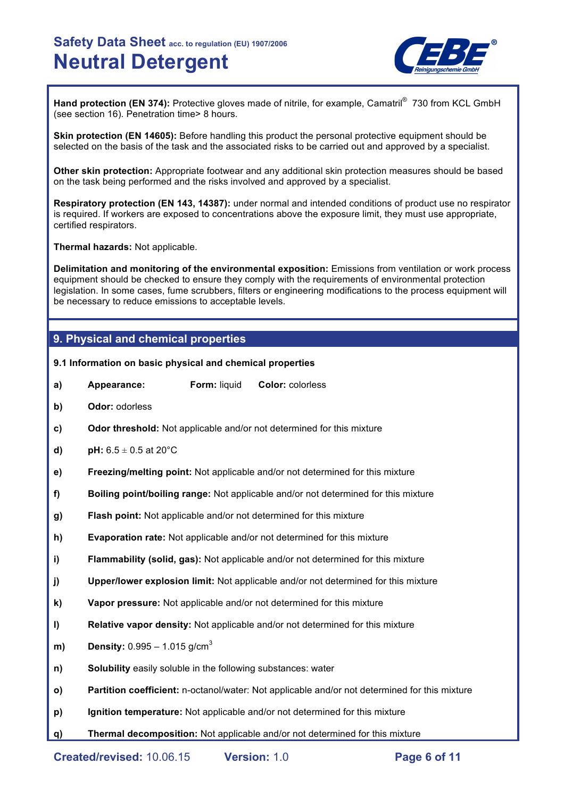

Hand protection (EN 374): Protective gloves made of nitrile, for example, Camatril<sup>®</sup> 730 from KCL GmbH (see section 16). Penetration time> 8 hours.

**Skin protection (EN 14605):** Before handling this product the personal protective equipment should be selected on the basis of the task and the associated risks to be carried out and approved by a specialist.

**Other skin protection:** Appropriate footwear and any additional skin protection measures should be based on the task being performed and the risks involved and approved by a specialist.

**Respiratory protection (EN 143, 14387):** under normal and intended conditions of product use no respirator is required. If workers are exposed to concentrations above the exposure limit, they must use appropriate, certified respirators.

**Thermal hazards:** Not applicable.

**Delimitation and monitoring of the environmental exposition:** Emissions from ventilation or work process equipment should be checked to ensure they comply with the requirements of environmental protection legislation. In some cases, fume scrubbers, filters or engineering modifications to the process equipment will be necessary to reduce emissions to acceptable levels.

## **9. Physical and chemical properties**

### **9.1 Information on basic physical and chemical properties**

- **a) Appearance: Form:** liquid **Color:** colorless
- **b) Odor:** odorless
- **c) Odor threshold:** Not applicable and/or not determined for this mixture
- **d) pH:**  $6.5 \pm 0.5$  at 20 $^{\circ}$ C
- **e) Freezing/melting point:** Not applicable and/or not determined for this mixture
- **f) Boiling point/boiling range:** Not applicable and/or not determined for this mixture
- **g) Flash point:** Not applicable and/or not determined for this mixture
- **h) Evaporation rate:** Not applicable and/or not determined for this mixture
- **i) Flammability (solid, gas):** Not applicable and/or not determined for this mixture
- **j) Upper/lower explosion limit:** Not applicable and/or not determined for this mixture
- **k) Vapor pressure:** Not applicable and/or not determined for this mixture
- **l) Relative vapor density:** Not applicable and/or not determined for this mixture
- **m) Density:** 0.995 1.015 g/cm<sup>3</sup>
- **n) Solubility** easily soluble in the following substances: water
- **o) Partition coefficient:** n-octanol/water: Not applicable and/or not determined for this mixture
- **p) Ignition temperature:** Not applicable and/or not determined for this mixture
- **q) Thermal decomposition:** Not applicable and/or not determined for this mixture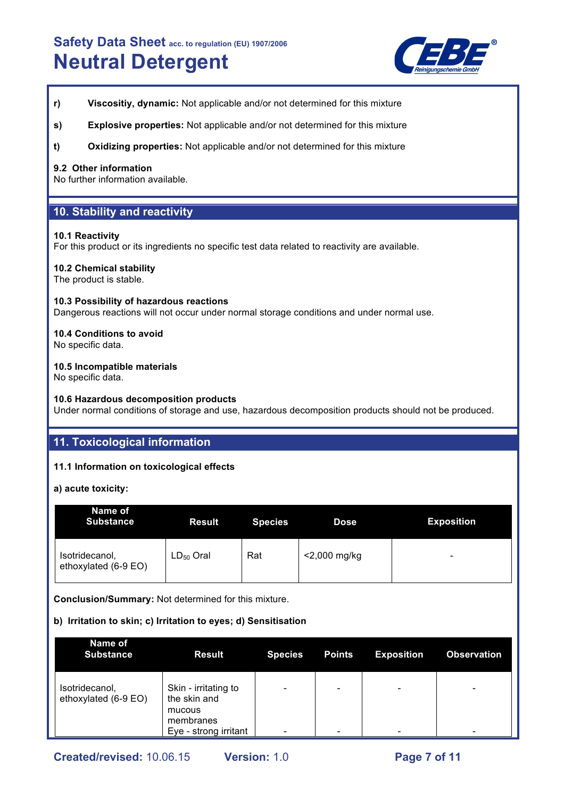

- **r) Viscositiy, dynamic:** Not applicable and/or not determined for this mixture
- **s) Explosive properties:** Not applicable and/or not determined for this mixture
- **t) Oxidizing properties:** Not applicable and/or not determined for this mixture

### **9.2 Other information**

No further information available.

## **10. Stability and reactivity**

#### **10.1 Reactivity**

For this product or its ingredients no specific test data related to reactivity are available.

### **10.2 Chemical stability**

The product is stable.

#### **10.3 Possibility of hazardous reactions**

Dangerous reactions will not occur under normal storage conditions and under normal use.

## **10.4 Conditions to avoid**

No specific data.

### **10.5 Incompatible materials**

No specific data.

## **10.6 Hazardous decomposition products**

Under normal conditions of storage and use, hazardous decomposition products should not be produced.

# **11. Toxicological information**

## **11.1 Information on toxicological effects**

**a) acute toxicity:**

| Name of<br><b>Substance</b>            | <b>Result</b>  | <b>Species</b> | <b>Dose</b>     | <b>Exposition</b> |
|----------------------------------------|----------------|----------------|-----------------|-------------------|
| Isotridecanol,<br>ethoxylated (6-9 EO) | $LD_{50}$ Oral | Rat            | $<$ 2,000 mg/kg | -                 |

**Conclusion/Summary:** Not determined for this mixture.

## **b) Irritation to skin; c) Irritation to eyes; d) Sensitisation**

| Name of<br><b>Substance</b>            | <b>Result</b>                                               | <b>Species</b> | <b>Points</b>            | <b>Exposition</b> | <b>Observation</b>       |
|----------------------------------------|-------------------------------------------------------------|----------------|--------------------------|-------------------|--------------------------|
| Isotridecanol,<br>ethoxylated (6-9 EO) | Skin - irritating to<br>the skin and<br>mucous<br>membranes |                | $\overline{\phantom{0}}$ | -                 | $\overline{\phantom{0}}$ |
|                                        | Eye - strong irritant                                       |                | $\overline{\phantom{0}}$ |                   | -                        |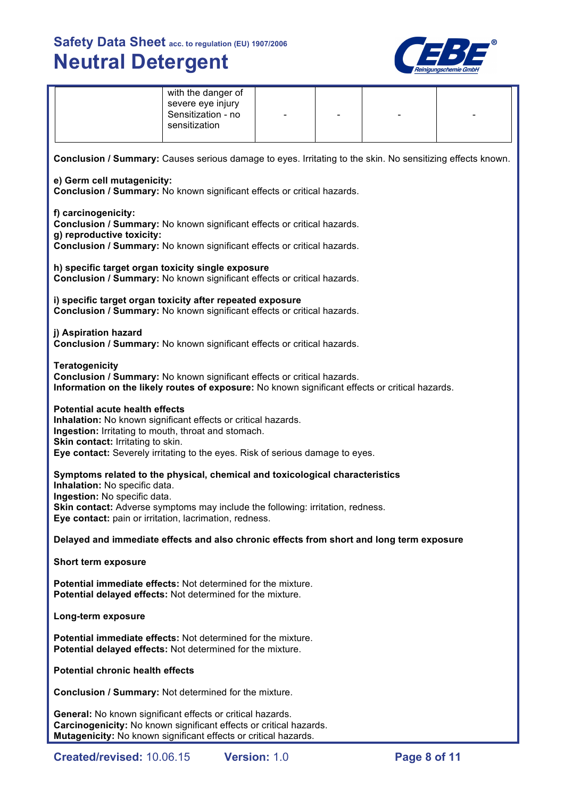

|                                                                                                                                                                                                                                                                                                 | with the danger of<br>severe eye injury<br>Sensitization - no<br>sensitization |  |  |  |  |
|-------------------------------------------------------------------------------------------------------------------------------------------------------------------------------------------------------------------------------------------------------------------------------------------------|--------------------------------------------------------------------------------|--|--|--|--|
| Conclusion / Summary: Causes serious damage to eyes. Irritating to the skin. No sensitizing effects known.                                                                                                                                                                                      |                                                                                |  |  |  |  |
| e) Germ cell mutagenicity:<br>Conclusion / Summary: No known significant effects or critical hazards.                                                                                                                                                                                           |                                                                                |  |  |  |  |
| f) carcinogenicity:<br>Conclusion / Summary: No known significant effects or critical hazards.<br>g) reproductive toxicity:<br>Conclusion / Summary: No known significant effects or critical hazards.                                                                                          |                                                                                |  |  |  |  |
| h) specific target organ toxicity single exposure<br>Conclusion / Summary: No known significant effects or critical hazards.                                                                                                                                                                    |                                                                                |  |  |  |  |
| i) specific target organ toxicity after repeated exposure<br>Conclusion / Summary: No known significant effects or critical hazards.                                                                                                                                                            |                                                                                |  |  |  |  |
| j) Aspiration hazard<br>Conclusion / Summary: No known significant effects or critical hazards.                                                                                                                                                                                                 |                                                                                |  |  |  |  |
| <b>Teratogenicity</b><br>Conclusion / Summary: No known significant effects or critical hazards.<br>Information on the likely routes of exposure: No known significant effects or critical hazards.                                                                                             |                                                                                |  |  |  |  |
| <b>Potential acute health effects</b><br>Inhalation: No known significant effects or critical hazards.<br>Ingestion: Irritating to mouth, throat and stomach.<br>Skin contact: Irritating to skin.<br>Eye contact: Severely irritating to the eyes. Risk of serious damage to eyes.             |                                                                                |  |  |  |  |
| Symptoms related to the physical, chemical and toxicological characteristics<br>Inhalation: No specific data.<br>Ingestion: No specific data.<br><b>Skin contact:</b> Adverse symptoms may include the following: irritation, redness<br>Eye contact: pain or irritation, lacrimation, redness. |                                                                                |  |  |  |  |
| Delayed and immediate effects and also chronic effects from short and long term exposure                                                                                                                                                                                                        |                                                                                |  |  |  |  |
| Short term exposure                                                                                                                                                                                                                                                                             |                                                                                |  |  |  |  |
| <b>Potential immediate effects:</b> Not determined for the mixture.<br>Potential delayed effects: Not determined for the mixture.                                                                                                                                                               |                                                                                |  |  |  |  |
| Long-term exposure                                                                                                                                                                                                                                                                              |                                                                                |  |  |  |  |
| <b>Potential immediate effects:</b> Not determined for the mixture.<br>Potential delayed effects: Not determined for the mixture.                                                                                                                                                               |                                                                                |  |  |  |  |
| <b>Potential chronic health effects</b>                                                                                                                                                                                                                                                         |                                                                                |  |  |  |  |
| <b>Conclusion / Summary: Not determined for the mixture.</b>                                                                                                                                                                                                                                    |                                                                                |  |  |  |  |
| General: No known significant effects or critical hazards.<br>Carcinogenicity: No known significant effects or critical hazards.<br>Mutagenicity: No known significant effects or critical hazards.                                                                                             |                                                                                |  |  |  |  |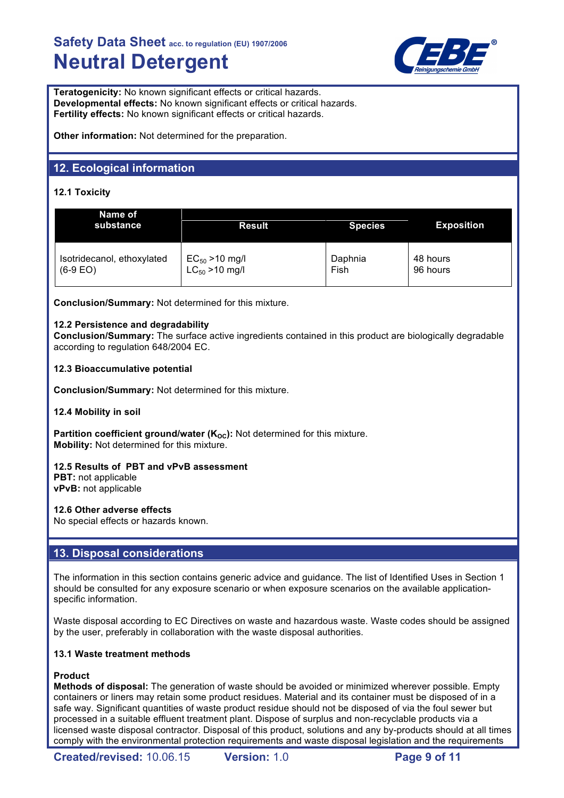

**Teratogenicity:** No known significant effects or critical hazards. **Developmental effects:** No known significant effects or critical hazards. **Fertility effects:** No known significant effects or critical hazards.

**Other information:** Not determined for the preparation.

# **12. Ecological information**

## **12.1 Toxicity**

| Name of<br>substance       | <b>Result</b>                                     | <b>Species</b> | <b>Exposition</b> |
|----------------------------|---------------------------------------------------|----------------|-------------------|
| Isotridecanol, ethoxylated | $EC_{50} > 10$ mg/l<br>LC <sub>50</sub> > 10 mg/l | Daphnia        | 48 hours          |
| $(6-9)$ EO)                |                                                   | Fish           | 96 hours          |

**Conclusion/Summary:** Not determined for this mixture.

## **12.2 Persistence and degradability**

**Conclusion/Summary:** The surface active ingredients contained in this product are biologically degradable according to regulation 648/2004 EC.

## **12.3 Bioaccumulative potential**

**Conclusion/Summary:** Not determined for this mixture.

## **12.4 Mobility in soil**

**Partition coefficient ground/water (K<sub>OC</sub>):** Not determined for this mixture. **Mobility:** Not determined for this mixture.

## **12.5 Results of PBT and vPvB assessment**

**PBT:** not applicable **vPvB:** not applicable

## **12.6 Other adverse effects**

No special effects or hazards known.

## **13. Disposal considerations**

The information in this section contains generic advice and guidance. The list of Identified Uses in Section 1 should be consulted for any exposure scenario or when exposure scenarios on the available applicationspecific information.

Waste disposal according to EC Directives on waste and hazardous waste. Waste codes should be assigned by the user, preferably in collaboration with the waste disposal authorities.

## **13.1 Waste treatment methods**

## **Product**

**Methods of disposal:** The generation of waste should be avoided or minimized wherever possible. Empty containers or liners may retain some product residues. Material and its container must be disposed of in a safe way. Significant quantities of waste product residue should not be disposed of via the foul sewer but processed in a suitable effluent treatment plant. Dispose of surplus and non-recyclable products via a licensed waste disposal contractor. Disposal of this product, solutions and any by-products should at all times comply with the environmental protection requirements and waste disposal legislation and the requirements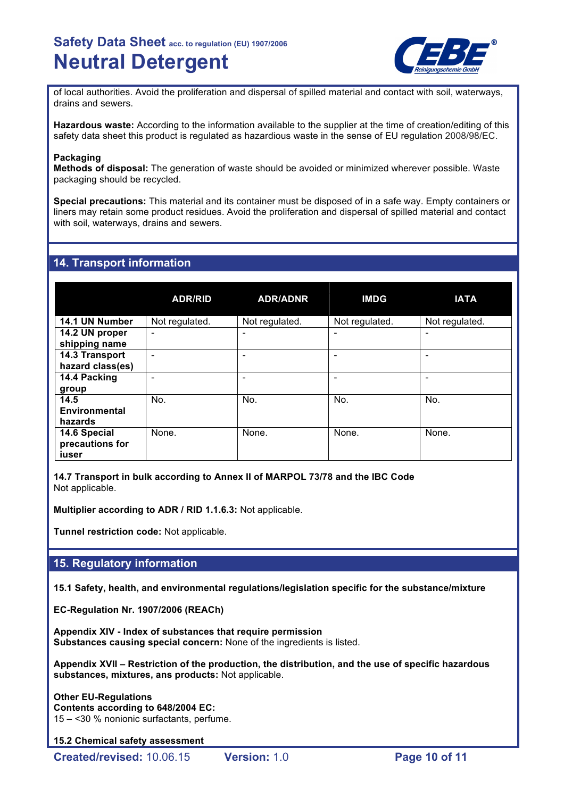

of local authorities. Avoid the proliferation and dispersal of spilled material and contact with soil, waterways, drains and sewers.

**Hazardous waste:** According to the information available to the supplier at the time of creation/editing of this safety data sheet this product is regulated as hazardious waste in the sense of EU regulation 2008/98/EC.

### **Packaging**

**Methods of disposal:** The generation of waste should be avoided or minimized wherever possible. Waste packaging should be recycled.

**Special precautions:** This material and its container must be disposed of in a safe way. Empty containers or liners may retain some product residues. Avoid the proliferation and dispersal of spilled material and contact with soil, waterways, drains and sewers.

## **14. Transport information**

|                                          | <b>ADR/RID</b> | <b>ADR/ADNR</b> | <b>IMDG</b>    | <b>IATA</b>    |
|------------------------------------------|----------------|-----------------|----------------|----------------|
| 14.1 UN Number                           | Not regulated. | Not regulated.  | Not regulated. | Not regulated. |
| 14.2 UN proper<br>shipping name          |                |                 |                |                |
| 14.3 Transport<br>hazard class(es)       |                |                 |                |                |
| 14.4 Packing<br>group                    |                |                 |                |                |
| 14.5<br>Environmental<br>hazards         | No.            | No.             | No.            | No.            |
| 14.6 Special<br>precautions for<br>iuser | None.          | None.           | None.          | None.          |

**14.7 Transport in bulk according to Annex II of MARPOL 73/78 and the IBC Code** Not applicable.

**Multiplier according to ADR / RID 1.1.6.3:** Not applicable.

**Tunnel restriction code:** Not applicable.

## **15. Regulatory information**

**15.1 Safety, health, and environmental regulations/legislation specific for the substance/mixture**

**EC-Regulation Nr. 1907/2006 (REACh)**

**Appendix XIV - Index of substances that require permission Substances causing special concern:** None of the ingredients is listed.

**Appendix XVII – Restriction of the production, the distribution, and the use of specific hazardous substances, mixtures, ans products:** Not applicable.

**Other EU-Regulations Contents according to 648/2004 EC:** 15 – <30 % nonionic surfactants, perfume.

**15.2 Chemical safety assessment**